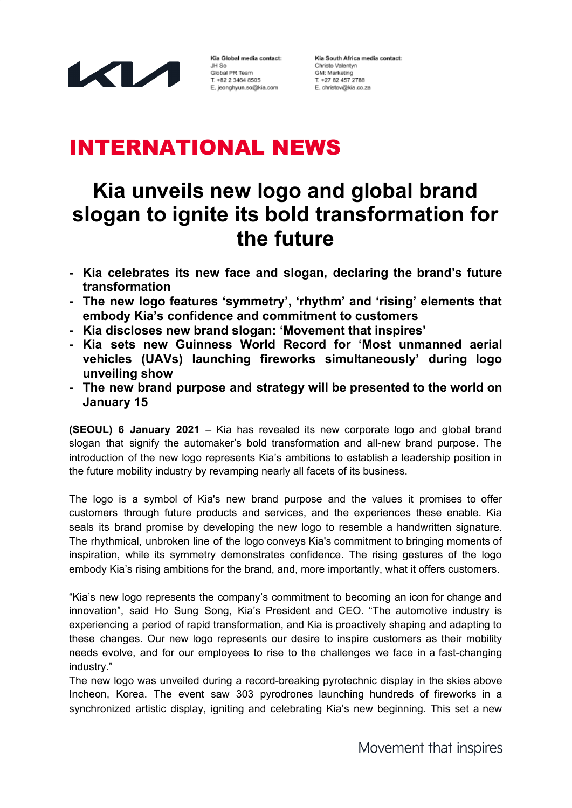

Kia Global media contact: JH So Global PR Team T. +82 2 3464 8505 E. jeonghyun.so@kia.com

Kia South Africa media contact: Christo Valentyn GM: Marketing T. +27 82 457 2788 E. christov@kia.co.za

## INTERNATIONAL NEWS

# **Kia unveils new logo and global brand slogan to ignite its bold transformation for the future**

- **- Kia celebrates its new face and slogan, declaring the brand's future transformation**
- **- The new logo features 'symmetry', 'rhythm' and 'rising' elements that embody Kia's confidence and commitment to customers**
- **- Kia discloses new brand slogan: 'Movement that inspires'**
- **- Kia sets new Guinness World Record for 'Most unmanned aerial vehicles (UAVs) launching fireworks simultaneously' during logo unveiling show**
- **- The new brand purpose and strategy will be presented to the world on January 15**

**(SEOUL) 6 January 2021** – Kia has revealed its new corporate logo and global brand slogan that signify the automaker's bold transformation and all-new brand purpose. The introduction of the new logo represents Kia's ambitions to establish a leadership position in the future mobility industry by revamping nearly all facets of its business.

The logo is a symbol of Kia's new brand purpose and the values it promises to offer customers through future products and services, and the experiences these enable. Kia seals its brand promise by developing the new logo to resemble a handwritten signature. The rhythmical, unbroken line of the logo conveys Kia's commitment to bringing moments of inspiration, while its symmetry demonstrates confidence. The rising gestures of the logo embody Kia's rising ambitions for the brand, and, more importantly, what it offers customers.

"Kia's new logo represents the company's commitment to becoming an icon for change and innovation", said Ho Sung Song, Kia's President and CEO. "The automotive industry is experiencing a period of rapid transformation, and Kia is proactively shaping and adapting to these changes. Our new logo represents our desire to inspire customers as their mobility needs evolve, and for our employees to rise to the challenges we face in a fast-changing industry."

The new logo was unveiled during a record-breaking pyrotechnic display in the skies above Incheon, Korea. The event saw 303 pyrodrones launching hundreds of fireworks in a synchronized artistic display, igniting and celebrating Kia's new beginning. This set a new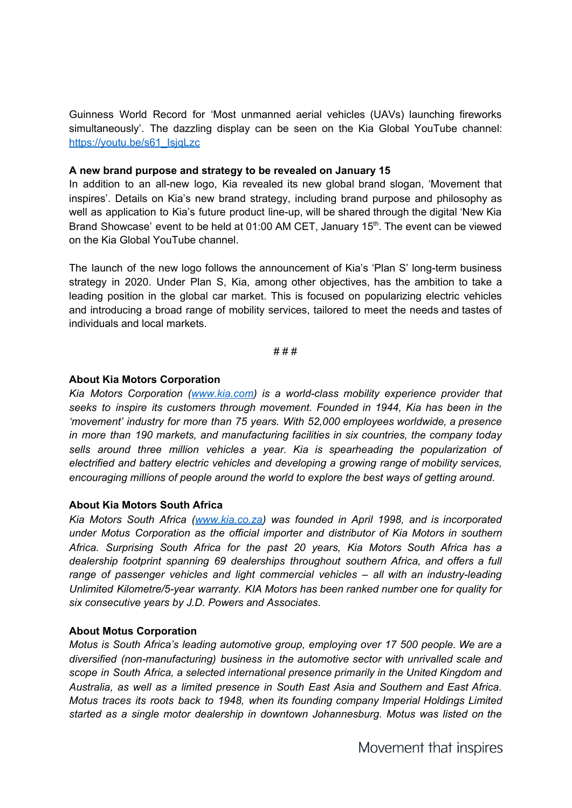Guinness World Record for 'Most unmanned aerial vehicles (UAVs) launching fireworks simultaneously'. The dazzling display can be seen on the Kia Global YouTube channel: [https://youtu.be/s61\\_IsjqLzc](https://youtu.be/s61_IsjqLzc)

### **A new brand purpose and strategy to be revealed on January 15**

In addition to an all-new logo, Kia revealed its new global brand slogan, 'Movement that inspires'. Details on Kia's new brand strategy, including brand purpose and philosophy as well as application to Kia's future product line-up, will be shared through the digital 'New Kia Brand Showcase' event to be held at 01:00 AM CET, January 15<sup>th</sup>. The event can be viewed on the Kia Global YouTube channel.

The launch of the new logo follows the announcement of Kia's 'Plan S' long-term business strategy in 2020. Under Plan S, Kia, among other objectives, has the ambition to take a leading position in the global car market. This is focused on popularizing electric vehicles and introducing a broad range of mobility services, tailored to meet the needs and tastes of individuals and local markets.

# # #

#### **About Kia Motors Corporation**

*Kia Motors Corporation ([www.kia.com](http://www.kia.com/)) is a world-class mobility experience provider that seeks to inspire its customers through movement. Founded in 1944, Kia has been in the 'movement' industry for more than 75 years. With 52,000 employees worldwide, a presence in more than 190 markets, and manufacturing facilities in six countries, the company today sells around three million vehicles a year. Kia is spearheading the popularization of electrified and battery electric vehicles and developing a growing range of mobility services, encouraging millions of people around the world to explore the best ways of getting around.*

## **About Kia Motors South Africa**

*Kia Motors South Africa [\(www.kia.co.za\)](http://www.kia.co.za/) was founded in April 1998, and is incorporated under Motus Corporation as the official importer and distributor of Kia Motors in southern Africa. Surprising South Africa for the past 20 years, Kia Motors South Africa has a dealership footprint spanning 69 dealerships throughout southern Africa, and offers a full range of passenger vehicles and light commercial vehicles – all with an industry-leading Unlimited Kilometre/5-year warranty. KIA Motors has been ranked number one for quality for six consecutive years by J.D. Powers and Associates.*

#### **About Motus Corporation**

*Motus is South Africa's leading automotive group, employing over 17 500 people. We are a diversified (non-manufacturing) business in the automotive sector with unrivalled scale and scope in South Africa, a selected international presence primarily in the United Kingdom and Australia, as well as a limited presence in South East Asia and Southern and East Africa. Motus traces its roots back to 1948, when its founding company Imperial Holdings Limited started as a single motor dealership in downtown Johannesburg. Motus was listed on the*